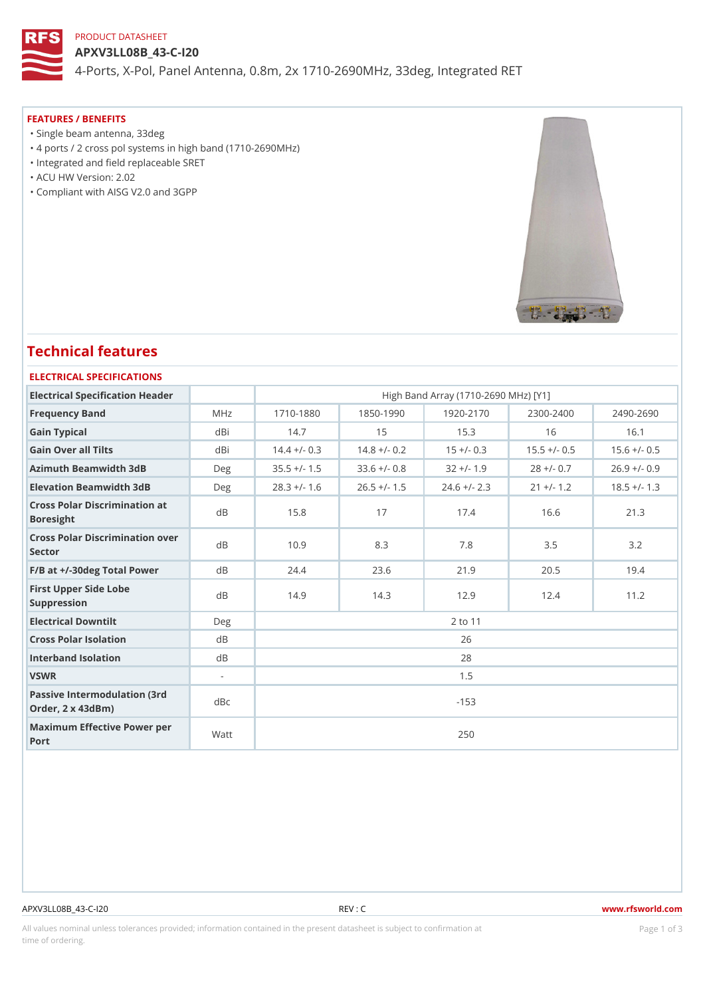# PRODUCT DATASHEET

APXV3LL08B\_43-C-I20 4-Ports, X-Pol, Panel Antenna, 0.8m, 2x 1710-2690MHz, 33deg, Integrated

#### FEATURES / BENEFITS

"Single beam antenna, 33deg

- "4 ports / 2 cross pol systems in high band (1710-2690MHz)
- "Integrated and field replaceable SRET
- "ACU HW Version: 2.02
- "Compliant with AISG V2.0 and 3GPP

# Technical features

### ELECTRICAL SPECIFICATIONS

| Electrical Specification Header                                   |                          |               |               | High Band Array (1710-2690 MHz) [Y1]                      |               |                                                                         |  |  |  |
|-------------------------------------------------------------------|--------------------------|---------------|---------------|-----------------------------------------------------------|---------------|-------------------------------------------------------------------------|--|--|--|
| Frequency Band                                                    | MHz                      | $1710 - 1880$ | $1850 - 1990$ | $1920 - 2170$                                             | $2300 - 2400$ | $2490 - 2690$                                                           |  |  |  |
| Gain Typical                                                      | dBi                      | 14.7          | 15            | 15.3                                                      | 16            | 16.1                                                                    |  |  |  |
| Gain Over all Tilts                                               | dBi                      |               |               |                                                           |               | $14.4 + (-0.3 14.8 + (-0.2 15 + (-0.8 15.5 + (-0.5 15.6 + (-0.5 15.6))$ |  |  |  |
| Azimuth Beamwidth 3dB                                             | Deg                      |               |               | $35.5 + (-1.533.6 + (-0.832 + (-1.9$                      | $28 + (-0.7$  | $26.9$ +/- 0.9                                                          |  |  |  |
| Elevation Beamwidth 3dB                                           | Deg                      |               |               | $28.3 +/- 1.6$ $26.5 +/- 1.5$ $24.6 +/- 2.3$ $21 +/- 1.2$ |               | $18.5 +/- 1.3$                                                          |  |  |  |
| Cross Polar Discrimination at<br><b>Boresight</b>                 |                          | 15.8          | 17            | 17.4                                                      | 16.6          | 21.3                                                                    |  |  |  |
| Cross Polar Discrimination over<br>Sector                         |                          | 10.9          | 8.3           | 7.8                                                       | 3.5           | 3.2                                                                     |  |  |  |
| $F/B$ at $+/-30$ deg Total Powerd B                               |                          | 24.4          | 23.6          | 21.9                                                      | 20.5          | 19.4                                                                    |  |  |  |
| First Upper Side Lobe<br>Suppression                              | d B                      | 14.9          | 14.3          | 12.9                                                      | 12.4          | 11.2                                                                    |  |  |  |
| Electrical Downtilt                                               | Deg                      | 2 to 11       |               |                                                           |               |                                                                         |  |  |  |
| Cross Polar Isolation                                             | d B                      | 26            |               |                                                           |               |                                                                         |  |  |  |
| Interband Isolation                                               | d B                      | 28            |               |                                                           |               |                                                                         |  |  |  |
| VSWR                                                              | $\overline{\phantom{a}}$ | 1.5           |               |                                                           |               |                                                                         |  |  |  |
| Passive Intermodulation (3rd dBc<br>Order, $2 \times 43$ d $B$ m) |                          |               |               | $-153$                                                    |               |                                                                         |  |  |  |
| Maximum Effective Power per<br>Port                               |                          |               |               | 250                                                       |               |                                                                         |  |  |  |

#### APXV3LL08B\_43-C-I20 REV : C www.rfsworld.com

All values nominal unless tolerances provided; information contained in the present datasheet is subject to PcaogneionIm atio time of ordering.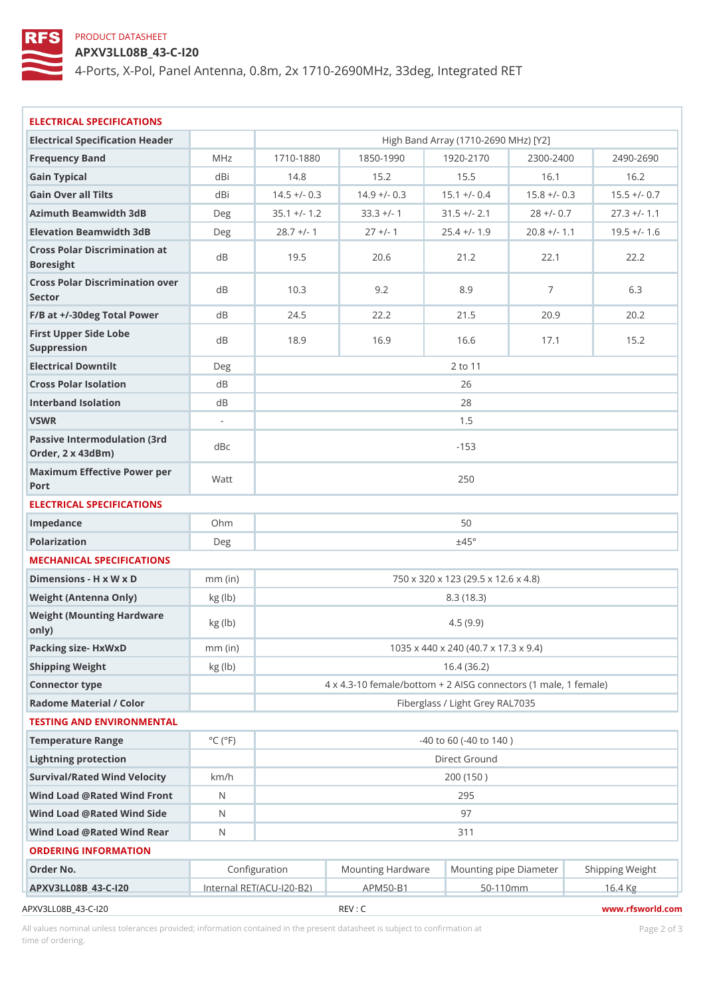# PRODUCT DATASHEET

APXV3LL08B\_43-C-I20

4-Ports, X-Pol, Panel Antenna, 0.8m, 2x 1710-2690MHz, 33deg, Integrated

| ELECTRICAL SPECIFICATIONS                             |                             |                                                       |                                                                    |                                      |                           |                                                      |  |  |  |
|-------------------------------------------------------|-----------------------------|-------------------------------------------------------|--------------------------------------------------------------------|--------------------------------------|---------------------------|------------------------------------------------------|--|--|--|
| Electrical Specification Header                       |                             |                                                       |                                                                    | High Band Array (1710-2690 MHz) [Y2] |                           |                                                      |  |  |  |
| Frequency Band                                        | M H z                       | $1710 - 1880$                                         | $1850 - 1990$                                                      | $1920 - 217$                         | $2300 - 2400$             | $2490 - 2690$                                        |  |  |  |
| Gain Typical                                          | dBi                         | 14.8                                                  | 15.2                                                               | 15.5                                 | 16.1                      | 16.2                                                 |  |  |  |
| Gain Over all Tilts                                   | dBi                         |                                                       | $14.5 + (-0.3 14.9 + (-0.3 15.1 + (-0.4 15.8 + (-0.3 15.5 + (-0.7$ |                                      |                           |                                                      |  |  |  |
| Azimuth Beamwidth 3dB                                 | Deg                         |                                                       | $35.1 + (-1)$ . 2 $33.3 + (-1)$                                    |                                      | $31.5$ +/- 2.1 28 +/- 0.7 | $27.3$ +/- 1.1                                       |  |  |  |
| Elevation Beamwidth 3dB                               | Deg                         | $28.7 +/- 1$                                          | $27 +/- 1$                                                         |                                      |                           | $25.4$ +/- 1.9 20.8 +/- 1.1 19.5 +/- 1.6             |  |  |  |
| Cross Polar Discrimination at<br>Boresight            |                             | 19.5                                                  | 20.6                                                               | 21.2                                 | 22.1                      | 22.2                                                 |  |  |  |
| Cross Polar Discrimination over<br>Sector             |                             | 10.3                                                  | 9.2                                                                | 8.9                                  | $\overline{7}$            | 6.3                                                  |  |  |  |
| $F/B$ at $+/-30$ deg Total Powerd B                   |                             | 24.5                                                  | 22.2                                                               | 21.5                                 | 20.9                      | 20.2                                                 |  |  |  |
| First Upper Side Lobe<br>Suppression                  | d B                         | 18.9                                                  | 16.9                                                               | 16.6                                 | 17.1                      | 15.2                                                 |  |  |  |
| Electrical Downtilt                                   | Deg                         | 2 to 11                                               |                                                                    |                                      |                           |                                                      |  |  |  |
| Cross Polar Isolation                                 | d B                         | 26                                                    |                                                                    |                                      |                           |                                                      |  |  |  |
| Interband Isolation                                   | d B                         | 28                                                    |                                                                    |                                      |                           |                                                      |  |  |  |
| VSWR                                                  | $\overline{\phantom{a}}$    | 1.5                                                   |                                                                    |                                      |                           |                                                      |  |  |  |
| Passive Intermodulation (3rd dBc<br>Order, 2 x 43dBm) |                             | $-153$                                                |                                                                    |                                      |                           |                                                      |  |  |  |
| Maximum Effective Power per<br>Port                   |                             | 250                                                   |                                                                    |                                      |                           |                                                      |  |  |  |
| ELECTRICAL SPECIFICATIONS                             |                             |                                                       |                                                                    |                                      |                           |                                                      |  |  |  |
| Impedance                                             | $Oh$ m                      | 50                                                    |                                                                    |                                      |                           |                                                      |  |  |  |
| Polarization                                          | Deg                         | ±45°                                                  |                                                                    |                                      |                           |                                                      |  |  |  |
| MECHANICAL SPECIFICATIONS                             |                             |                                                       |                                                                    |                                      |                           |                                                      |  |  |  |
| Dimensions - H x W x D                                | $mm$ (in)                   |                                                       |                                                                    | 750 x 320 x 123 (29.5 x 12.6 x 4.8)  |                           |                                                      |  |  |  |
| Weight (Antenna Only)                                 | kg (lb)                     | 8.3(18.3)                                             |                                                                    |                                      |                           |                                                      |  |  |  |
| Weight (Mounting Hardware kg (Ib)<br>0nly)            |                             | 4.5(9.9)                                              |                                                                    |                                      |                           |                                                      |  |  |  |
| Packing size- HxWxD                                   | $mm$ (in)                   | 1035 x 440 x 240 (40.7 x 17.3 x 9.4)                  |                                                                    |                                      |                           |                                                      |  |  |  |
| Shipping Weight                                       | kg (lb)                     | 16.4(36.2)                                            |                                                                    |                                      |                           |                                                      |  |  |  |
| Connector type                                        |                             | 4 x 4.3-10 female/bottom + 2 AISG connectors (1 ma e, |                                                                    |                                      |                           |                                                      |  |  |  |
| Radome Material / Color                               |                             | Fiberglass / Light Grey RAL7035                       |                                                                    |                                      |                           |                                                      |  |  |  |
| TESTING AND ENVIRONMENTAL                             |                             |                                                       |                                                                    |                                      |                           |                                                      |  |  |  |
| Temperature Range                                     | $^{\circ}$ C ( $^{\circ}$ F |                                                       |                                                                    | $-40$ to 60 ( $-40$ to 140)          |                           |                                                      |  |  |  |
| Lightning protection                                  |                             | Direct Ground                                         |                                                                    |                                      |                           |                                                      |  |  |  |
| Survival/Rated Wind Velocikm/h                        |                             | 200 (150)                                             |                                                                    |                                      |                           |                                                      |  |  |  |
| Wind Load @ Rated Wind Front                          |                             | 295                                                   |                                                                    |                                      |                           |                                                      |  |  |  |
| Wind Load @ Rated Wind Sidd                           |                             | 97                                                    |                                                                    |                                      |                           |                                                      |  |  |  |
| Wind Load @ Rated Wind ReaN                           |                             |                                                       |                                                                    | 311                                  |                           |                                                      |  |  |  |
| ORDERING INFORMATION                                  |                             |                                                       |                                                                    |                                      |                           |                                                      |  |  |  |
| Order No.                                             |                             | Configuration                                         |                                                                    |                                      |                           | Mounting HardwaMeunting pipe DiameStheirpping Weight |  |  |  |
| APXV3LL08B 43-C-120                                   |                             |                                                       | Internal RET(ACU 120-BAPM50-B1                                     |                                      | $50 - 110$ m m            | 16.4 Kg                                              |  |  |  |
| APXV3LL08B_43-C-120                                   |                             |                                                       | REV : C                                                            |                                      |                           | www.rfsworld.cor                                     |  |  |  |

All values nominal unless tolerances provided; information contained in the present datasheet is subject to Pcaognéio 2nfirmatio time of ordering.